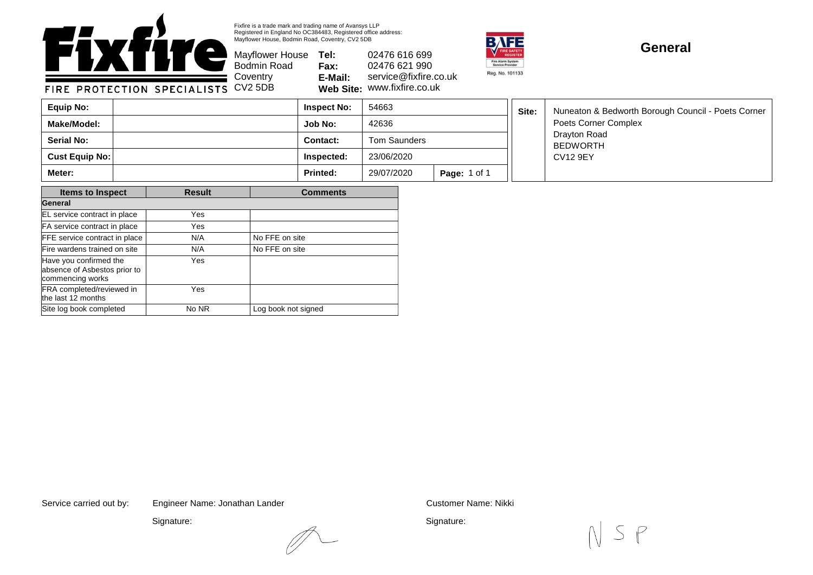

Fixfire is a trade mark and trading name of Avansys LLP Registered in England No OC384483, Registered office address: Mayflower House, Bodmin Road, Coventry, CV2 5DB

Bodmin Road **Coventry** 

Mayflower House **Tel: Fax: E-Mail: Web Site:** www.fixfire.co.uk 02476 616 699 02476 621 990 service@fixfire.co.uk



## **General**

FIRE PROTECTION SPECIALISTS CV2 5DB

| Equip No:             | <b>Inspect No:</b> | 54663        |                     | Site: | Nuneaton & Bedworth Borough Council - Poets Corner<br>Poets Corner Complex<br>Drayton Road<br><b>BEDWORTH</b><br><b>CV12 9EY</b> |
|-----------------------|--------------------|--------------|---------------------|-------|----------------------------------------------------------------------------------------------------------------------------------|
| Make/Model:           | Job No:            | 42636        |                     |       |                                                                                                                                  |
| <b>Serial No:</b>     | <b>Contact:</b>    | Tom Saunders |                     |       |                                                                                                                                  |
| <b>Cust Equip No:</b> | Inspected:         | 23/06/2020   |                     |       |                                                                                                                                  |
| Meter:                | <b>Printed:</b>    | 29/07/2020   | <b>Page: 1 of 1</b> |       |                                                                                                                                  |

| <b>Items to Inspect</b>                                                    | <b>Result</b> | <b>Comments</b>     |  |  |
|----------------------------------------------------------------------------|---------------|---------------------|--|--|
| General                                                                    |               |                     |  |  |
| EL service contract in place                                               | Yes           |                     |  |  |
| FA service contract in place                                               | Yes           |                     |  |  |
| FFE service contract in place                                              | N/A           | No FFE on site      |  |  |
| Fire wardens trained on site                                               | N/A           | No FFE on site      |  |  |
| Have you confirmed the<br>absence of Asbestos prior to<br>commencing works | Yes           |                     |  |  |
| FRA completed/reviewed in<br>the last 12 months                            | Yes           |                     |  |  |
| Site log book completed                                                    | No NR         | Log book not signed |  |  |

Service carried out by: Customer Name: Nikki Engineer Name: Jonathan Lander

Signature:

Signature: